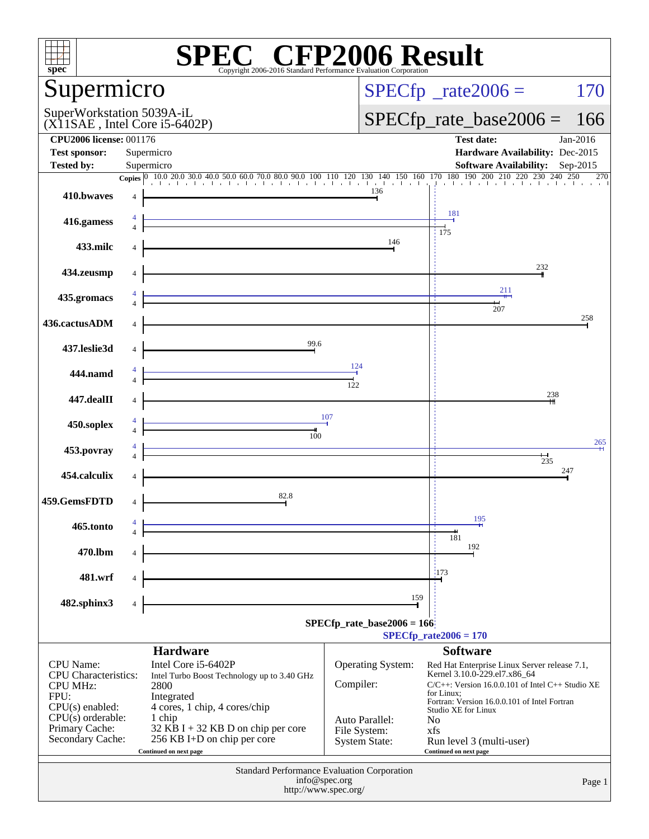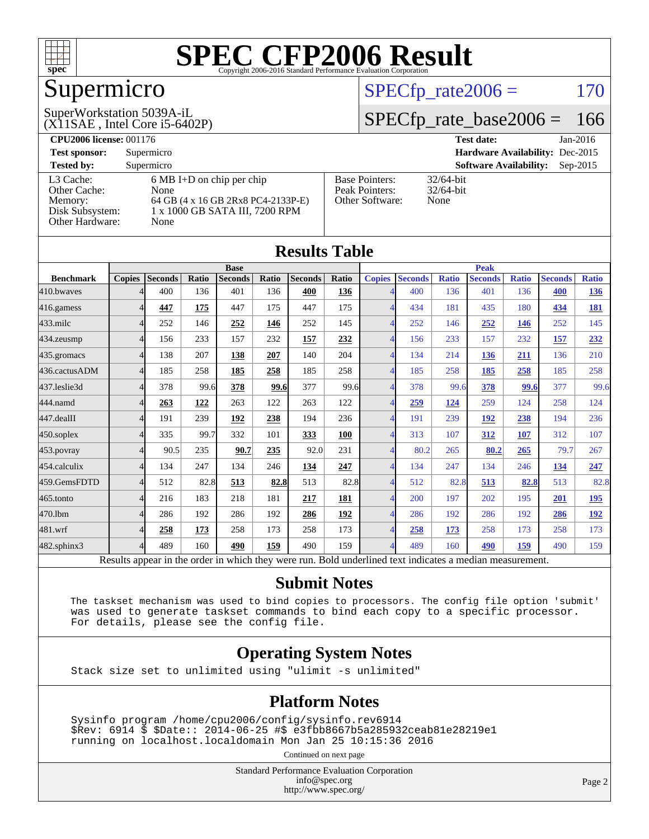

# Supermicro

#### (X11SAE , Intel Core i5-6402P) SuperWorkstation 5039A-iL

 $SPECTp_rate2006 = 170$ 

#### [SPECfp\\_rate\\_base2006 =](http://www.spec.org/auto/cpu2006/Docs/result-fields.html#SPECfpratebase2006) 166

| <b>CPU2006 license: 001176</b> |                                     |                       | <b>Test date:</b><br>$Jan-2016$             |
|--------------------------------|-------------------------------------|-----------------------|---------------------------------------------|
| <b>Test sponsor:</b>           | Supermicro                          |                       | Hardware Availability: Dec-2015             |
| <b>Tested by:</b>              | Supermicro                          |                       | <b>Software Availability:</b><br>$Sep-2015$ |
| L3 Cache:                      | $6 \text{ MB I+D}$ on chip per chip | <b>Base Pointers:</b> | $32/64$ -bit                                |
| Other Cache:                   | None                                | Peak Pointers:        | $32/64$ -bit                                |
| Memory:                        | 64 GB (4 x 16 GB 2Rx8 PC4-2133P-E)  | Other Software:       | None                                        |
| Disk Subsystem:                | 1 x 1000 GB SATA III, 7200 RPM      |                       |                                             |
| Other Hardware:                | None                                |                       |                                             |

|                   |               |         |       |                                                                                                          |       | <b>Results Table</b> |       |                          |                |              |                |              |                |              |
|-------------------|---------------|---------|-------|----------------------------------------------------------------------------------------------------------|-------|----------------------|-------|--------------------------|----------------|--------------|----------------|--------------|----------------|--------------|
|                   |               |         |       | <b>Base</b>                                                                                              |       |                      |       |                          |                |              | <b>Peak</b>    |              |                |              |
| <b>Benchmark</b>  | <b>Copies</b> | Seconds | Ratio | <b>Seconds</b>                                                                                           | Ratio | <b>Seconds</b>       | Ratio | <b>Copies</b>            | <b>Seconds</b> | <b>Ratio</b> | <b>Seconds</b> | <b>Ratio</b> | <b>Seconds</b> | <b>Ratio</b> |
| 410.bwayes        |               | 400     | 136   | 401                                                                                                      | 136   | 400                  | 136   | 4                        | 400            | 136          | 401            | 136          | 400            | <u>136</u>   |
| 416.gamess        | Δ             | 447     | 175   | 447                                                                                                      | 175   | 447                  | 175   | $\overline{\mathcal{A}}$ | 434            | 181          | 435            | 180          | 434            | 181          |
| $433$ .milc       | 4             | 252     | 146   | 252                                                                                                      | 146   | 252                  | 145   | 4                        | 252            | 146          | 252            | 146          | 252            | 145          |
| 434.zeusmp        | 4             | 156     | 233   | 157                                                                                                      | 232   | 157                  | 232   | $\overline{\mathcal{A}}$ | 156            | 233          | 157            | 232          | 157            | 232          |
| 435.gromacs       | 4             | 138     | 207   | 138                                                                                                      | 207   | 140                  | 204   | $\Delta$                 | 134            | 214          | 136            | 211          | 136            | 210          |
| 436.cactusADM     | 4             | 185     | 258   | 185                                                                                                      | 258   | 185                  | 258   | $\overline{4}$           | 185            | 258          | 185            | 258          | 185            | 258          |
| 437.leslie3d      | 4             | 378     | 99.6  | 378                                                                                                      | 99.6  | 377                  | 99.6  | Δ                        | 378            | 99.6         | 378            | 99.6         | 377            | 99.6         |
| 444.namd          | 4             | 263     | 122   | 263                                                                                                      | 122   | 263                  | 122   | $\overline{\mathcal{A}}$ | 259            | 124          | 259            | 124          | 258            | 124          |
| 447.dealII        | 4             | 191     | 239   | 192                                                                                                      | 238   | 194                  | 236   | 4                        | 191            | 239          | 192            | 238          | 194            | 236          |
| $450$ .soplex     | 4             | 335     | 99.7  | 332                                                                                                      | 101   | 333                  | 100   |                          | 313            | 107          | 312            | 107          | 312            | 107          |
| $453$ .povray     | 4             | 90.5    | 235   | 90.7                                                                                                     | 235   | 92.0                 | 231   | 4                        | 80.2           | 265          | 80.2           | 265          | 79.7           | 267          |
| 454.calculix      | Δ             | 134     | 247   | 134                                                                                                      | 246   | 134                  | 247   | $\overline{A}$           | 134            | 247          | 134            | 246          | 134            | 247          |
| 459.GemsFDTD      | 4             | 512     | 82.8  | 513                                                                                                      | 82.8  | 513                  | 82.8  | $\overline{4}$           | 512            | 82.8         | 513            | 82.8         | 513            | 82.8         |
| $465$ .tonto      | Δ             | 216     | 183   | 218                                                                                                      | 181   | 217                  | 181   |                          | 200            | 197          | 202            | 195          | 201            | <u>195</u>   |
| 470.1bm           | Δ             | 286     | 192   | 286                                                                                                      | 192   | 286                  | 192   | $\Delta$                 | 286            | 192          | 286            | 192          | 286            | <u>192</u>   |
| 481.wrf           | 4             | 258     | 173   | 258                                                                                                      | 173   | 258                  | 173   | 4                        | 258            | 173          | 258            | 173          | 258            | 173          |
| $482$ .sphinx $3$ | Δ             | 489     | 160   | 490                                                                                                      | 159   | 490                  | 159   | $\overline{A}$           | 489            | 160          | 490            | 159          | 490            | 159          |
|                   |               |         |       | Results appear in the order in which they were run. Bold underlined text indicates a median measurement. |       |                      |       |                          |                |              |                |              |                |              |

#### **[Submit Notes](http://www.spec.org/auto/cpu2006/Docs/result-fields.html#SubmitNotes)**

 The taskset mechanism was used to bind copies to processors. The config file option 'submit' was used to generate taskset commands to bind each copy to a specific processor. For details, please see the config file.

#### **[Operating System Notes](http://www.spec.org/auto/cpu2006/Docs/result-fields.html#OperatingSystemNotes)**

Stack size set to unlimited using "ulimit -s unlimited"

#### **[Platform Notes](http://www.spec.org/auto/cpu2006/Docs/result-fields.html#PlatformNotes)**

 Sysinfo program /home/cpu2006/config/sysinfo.rev6914 \$Rev: 6914 \$ \$Date:: 2014-06-25 #\$ e3fbb8667b5a285932ceab81e28219e1 running on localhost.localdomain Mon Jan 25 10:15:36 2016

Continued on next page

Standard Performance Evaluation Corporation [info@spec.org](mailto:info@spec.org) <http://www.spec.org/>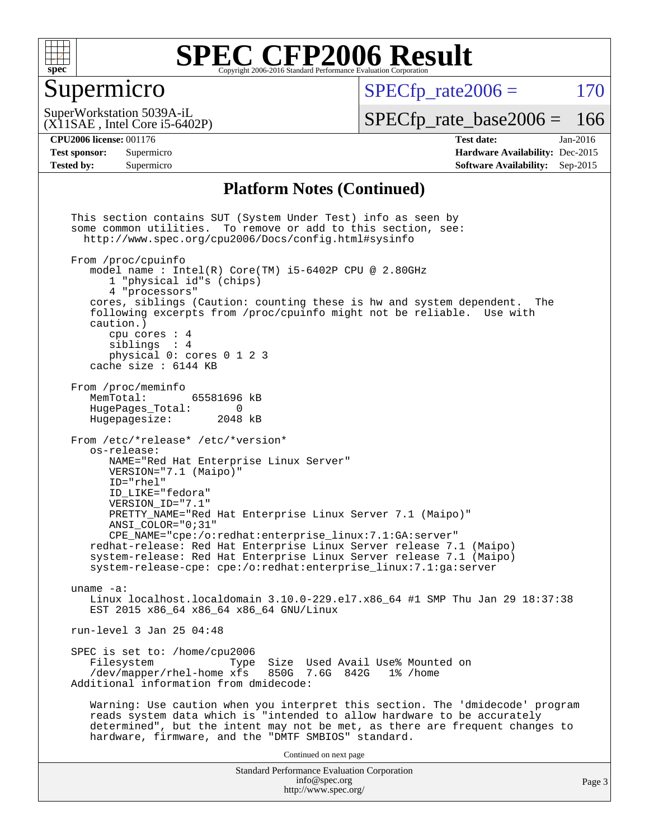

#### Supermicro

 $SPECTp\_rate2006 = 170$ 

(X11SAE , Intel Core i5-6402P) SuperWorkstation 5039A-iL

[SPECfp\\_rate\\_base2006 =](http://www.spec.org/auto/cpu2006/Docs/result-fields.html#SPECfpratebase2006) 166

**[CPU2006 license:](http://www.spec.org/auto/cpu2006/Docs/result-fields.html#CPU2006license)** 001176 **[Test date:](http://www.spec.org/auto/cpu2006/Docs/result-fields.html#Testdate)** Jan-2016 **[Test sponsor:](http://www.spec.org/auto/cpu2006/Docs/result-fields.html#Testsponsor)** Supermicro **[Hardware Availability:](http://www.spec.org/auto/cpu2006/Docs/result-fields.html#HardwareAvailability)** Dec-2015 **[Tested by:](http://www.spec.org/auto/cpu2006/Docs/result-fields.html#Testedby)** Supermicro **[Software Availability:](http://www.spec.org/auto/cpu2006/Docs/result-fields.html#SoftwareAvailability)** Sep-2015

#### **[Platform Notes \(Continued\)](http://www.spec.org/auto/cpu2006/Docs/result-fields.html#PlatformNotes)**

Standard Performance Evaluation Corporation [info@spec.org](mailto:info@spec.org) <http://www.spec.org/> This section contains SUT (System Under Test) info as seen by some common utilities. To remove or add to this section, see: <http://www.spec.org/cpu2006/Docs/config.html#sysinfo> From /proc/cpuinfo model name : Intel(R) Core(TM) i5-6402P CPU @ 2.80GHz 1 "physical id"s (chips) 4 "processors" cores, siblings (Caution: counting these is hw and system dependent. The following excerpts from /proc/cpuinfo might not be reliable. Use with caution.) cpu cores : 4 siblings : 4 physical 0: cores 0 1 2 3 cache size : 6144 KB From /proc/meminfo MemTotal: 65581696 kB<br>HugePages Total: 0 HugePages\_Total: 0<br>Hugepagesize: 2048 kB Hugepagesize: From /etc/\*release\* /etc/\*version\* os-release: NAME="Red Hat Enterprise Linux Server" VERSION="7.1 (Maipo)" ID="rhel" ID\_LIKE="fedora" VERSION\_ID="7.1" PRETTY\_NAME="Red Hat Enterprise Linux Server 7.1 (Maipo)" ANSI\_COLOR="0;31" CPE\_NAME="cpe:/o:redhat:enterprise\_linux:7.1:GA:server" redhat-release: Red Hat Enterprise Linux Server release 7.1 (Maipo) system-release: Red Hat Enterprise Linux Server release 7.1 (Maipo) system-release-cpe: cpe:/o:redhat:enterprise\_linux:7.1:ga:server uname -a: Linux localhost.localdomain 3.10.0-229.el7.x86\_64 #1 SMP Thu Jan 29 18:37:38 EST 2015 x86\_64 x86\_64 x86\_64 GNU/Linux run-level 3 Jan 25 04:48 SPEC is set to: /home/cpu2006<br>Filesystem Type Type Size Used Avail Use% Mounted on /dev/mapper/rhel-home xfs 850G 7.6G 842G 1% /home Additional information from dmidecode: Warning: Use caution when you interpret this section. The 'dmidecode' program reads system data which is "intended to allow hardware to be accurately determined", but the intent may not be met, as there are frequent changes to hardware, firmware, and the "DMTF SMBIOS" standard. Continued on next page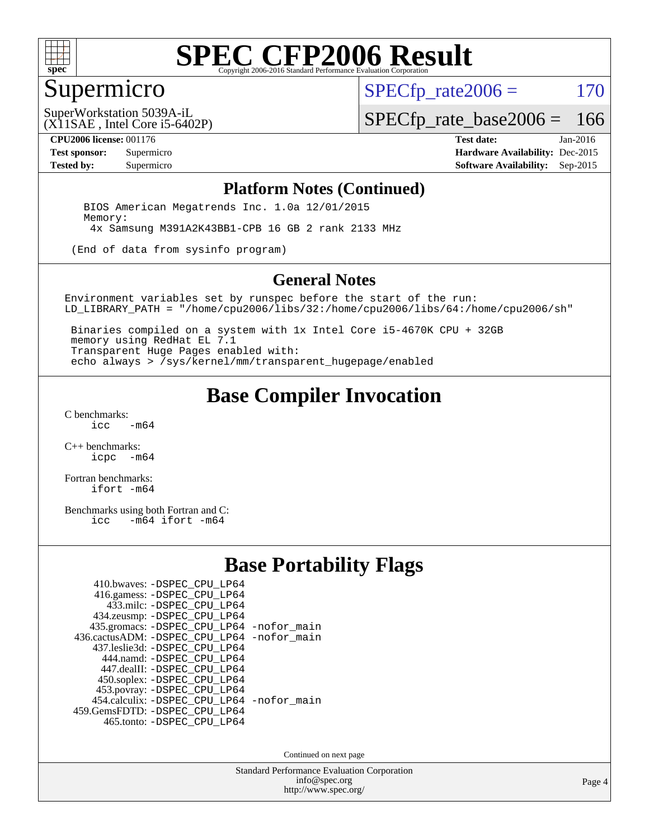

#### Supermicro

 $SPECTp\_rate2006 = 170$ 

(X11SAE , Intel Core i5-6402P) SuperWorkstation 5039A-iL

[SPECfp\\_rate\\_base2006 =](http://www.spec.org/auto/cpu2006/Docs/result-fields.html#SPECfpratebase2006) 166

**[CPU2006 license:](http://www.spec.org/auto/cpu2006/Docs/result-fields.html#CPU2006license)** 001176 **[Test date:](http://www.spec.org/auto/cpu2006/Docs/result-fields.html#Testdate)** Jan-2016

**[Test sponsor:](http://www.spec.org/auto/cpu2006/Docs/result-fields.html#Testsponsor)** Supermicro **[Hardware Availability:](http://www.spec.org/auto/cpu2006/Docs/result-fields.html#HardwareAvailability)** Dec-2015 **[Tested by:](http://www.spec.org/auto/cpu2006/Docs/result-fields.html#Testedby)** Supermicro **Supermicro [Software Availability:](http://www.spec.org/auto/cpu2006/Docs/result-fields.html#SoftwareAvailability)** Sep-2015

#### **[Platform Notes \(Continued\)](http://www.spec.org/auto/cpu2006/Docs/result-fields.html#PlatformNotes)**

 BIOS American Megatrends Inc. 1.0a 12/01/2015 Memory: 4x Samsung M391A2K43BB1-CPB 16 GB 2 rank 2133 MHz

(End of data from sysinfo program)

#### **[General Notes](http://www.spec.org/auto/cpu2006/Docs/result-fields.html#GeneralNotes)**

Environment variables set by runspec before the start of the run: LD\_LIBRARY\_PATH = "/home/cpu2006/libs/32:/home/cpu2006/libs/64:/home/cpu2006/sh"

 Binaries compiled on a system with 1x Intel Core i5-4670K CPU + 32GB memory using RedHat EL 7.1 Transparent Huge Pages enabled with: echo always > /sys/kernel/mm/transparent\_hugepage/enabled

#### **[Base Compiler Invocation](http://www.spec.org/auto/cpu2006/Docs/result-fields.html#BaseCompilerInvocation)**

[C benchmarks](http://www.spec.org/auto/cpu2006/Docs/result-fields.html#Cbenchmarks):  $-m64$ 

[C++ benchmarks:](http://www.spec.org/auto/cpu2006/Docs/result-fields.html#CXXbenchmarks) [icpc -m64](http://www.spec.org/cpu2006/results/res2016q1/cpu2006-20160206-39009.flags.html#user_CXXbase_intel_icpc_64bit_bedb90c1146cab66620883ef4f41a67e)

[Fortran benchmarks](http://www.spec.org/auto/cpu2006/Docs/result-fields.html#Fortranbenchmarks): [ifort -m64](http://www.spec.org/cpu2006/results/res2016q1/cpu2006-20160206-39009.flags.html#user_FCbase_intel_ifort_64bit_ee9d0fb25645d0210d97eb0527dcc06e)

[Benchmarks using both Fortran and C](http://www.spec.org/auto/cpu2006/Docs/result-fields.html#BenchmarksusingbothFortranandC):<br>icc -m64 ifort -m64  $-m64$  ifort  $-m64$ 

#### **[Base Portability Flags](http://www.spec.org/auto/cpu2006/Docs/result-fields.html#BasePortabilityFlags)**

| 410.bwaves: -DSPEC CPU LP64                 |  |
|---------------------------------------------|--|
| 416.gamess: -DSPEC_CPU_LP64                 |  |
| 433.milc: -DSPEC CPU LP64                   |  |
| 434.zeusmp: -DSPEC_CPU_LP64                 |  |
| 435.gromacs: -DSPEC_CPU_LP64 -nofor_main    |  |
| 436.cactusADM: -DSPEC CPU LP64 -nofor main  |  |
| 437.leslie3d: -DSPEC CPU LP64               |  |
| 444.namd: -DSPEC CPU LP64                   |  |
| 447.dealII: -DSPEC_CPU_LP64                 |  |
| 450.soplex: -DSPEC_CPU_LP64                 |  |
| 453.povray: -DSPEC_CPU_LP64                 |  |
| 454.calculix: - DSPEC CPU LP64 - nofor main |  |
| 459. GemsFDTD: - DSPEC CPU LP64             |  |
| 465.tonto: -DSPEC_CPU_LP64                  |  |

Continued on next page

Standard Performance Evaluation Corporation [info@spec.org](mailto:info@spec.org) <http://www.spec.org/>

Page 4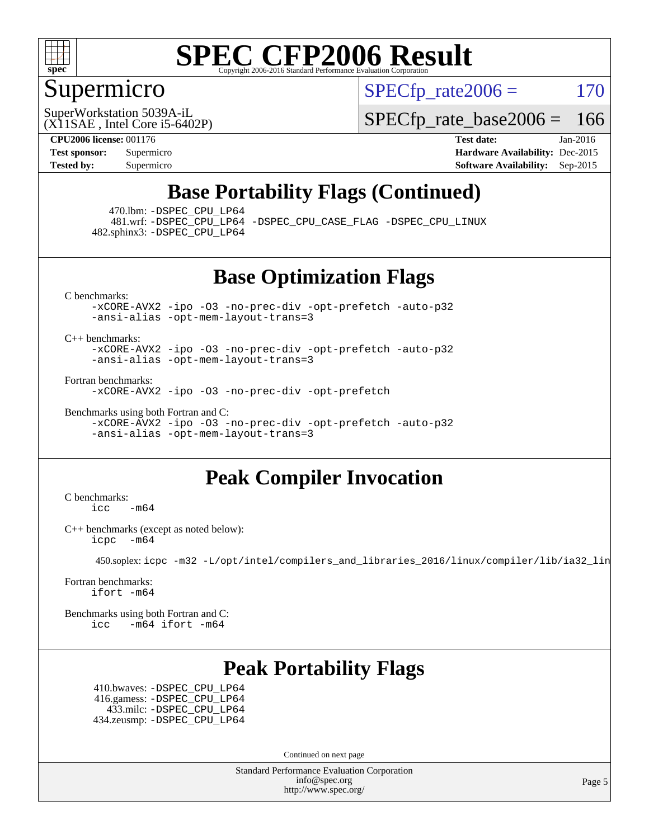

### Supermicro

 $SPECTp\_rate2006 = 170$ 

(X11SAE , Intel Core i5-6402P) SuperWorkstation 5039A-iL

[SPECfp\\_rate\\_base2006 =](http://www.spec.org/auto/cpu2006/Docs/result-fields.html#SPECfpratebase2006) 166

**[CPU2006 license:](http://www.spec.org/auto/cpu2006/Docs/result-fields.html#CPU2006license)** 001176 **[Test date:](http://www.spec.org/auto/cpu2006/Docs/result-fields.html#Testdate)** Jan-2016

**[Test sponsor:](http://www.spec.org/auto/cpu2006/Docs/result-fields.html#Testsponsor)** Supermicro **[Hardware Availability:](http://www.spec.org/auto/cpu2006/Docs/result-fields.html#HardwareAvailability)** Dec-2015 **[Tested by:](http://www.spec.org/auto/cpu2006/Docs/result-fields.html#Testedby)** Supermicro **Supermicro [Software Availability:](http://www.spec.org/auto/cpu2006/Docs/result-fields.html#SoftwareAvailability)** Sep-2015

### **[Base Portability Flags \(Continued\)](http://www.spec.org/auto/cpu2006/Docs/result-fields.html#BasePortabilityFlags)**

470.lbm: [-DSPEC\\_CPU\\_LP64](http://www.spec.org/cpu2006/results/res2016q1/cpu2006-20160206-39009.flags.html#suite_basePORTABILITY470_lbm_DSPEC_CPU_LP64)

 481.wrf: [-DSPEC\\_CPU\\_LP64](http://www.spec.org/cpu2006/results/res2016q1/cpu2006-20160206-39009.flags.html#suite_basePORTABILITY481_wrf_DSPEC_CPU_LP64) [-DSPEC\\_CPU\\_CASE\\_FLAG](http://www.spec.org/cpu2006/results/res2016q1/cpu2006-20160206-39009.flags.html#b481.wrf_baseCPORTABILITY_DSPEC_CPU_CASE_FLAG) [-DSPEC\\_CPU\\_LINUX](http://www.spec.org/cpu2006/results/res2016q1/cpu2006-20160206-39009.flags.html#b481.wrf_baseCPORTABILITY_DSPEC_CPU_LINUX) 482.sphinx3: [-DSPEC\\_CPU\\_LP64](http://www.spec.org/cpu2006/results/res2016q1/cpu2006-20160206-39009.flags.html#suite_basePORTABILITY482_sphinx3_DSPEC_CPU_LP64)

**[Base Optimization Flags](http://www.spec.org/auto/cpu2006/Docs/result-fields.html#BaseOptimizationFlags)**

[C benchmarks](http://www.spec.org/auto/cpu2006/Docs/result-fields.html#Cbenchmarks):

[-xCORE-AVX2](http://www.spec.org/cpu2006/results/res2016q1/cpu2006-20160206-39009.flags.html#user_CCbase_f-xAVX2_5f5fc0cbe2c9f62c816d3e45806c70d7) [-ipo](http://www.spec.org/cpu2006/results/res2016q1/cpu2006-20160206-39009.flags.html#user_CCbase_f-ipo) [-O3](http://www.spec.org/cpu2006/results/res2016q1/cpu2006-20160206-39009.flags.html#user_CCbase_f-O3) [-no-prec-div](http://www.spec.org/cpu2006/results/res2016q1/cpu2006-20160206-39009.flags.html#user_CCbase_f-no-prec-div) [-opt-prefetch](http://www.spec.org/cpu2006/results/res2016q1/cpu2006-20160206-39009.flags.html#user_CCbase_f-opt-prefetch) [-auto-p32](http://www.spec.org/cpu2006/results/res2016q1/cpu2006-20160206-39009.flags.html#user_CCbase_f-auto-p32) [-ansi-alias](http://www.spec.org/cpu2006/results/res2016q1/cpu2006-20160206-39009.flags.html#user_CCbase_f-ansi-alias) [-opt-mem-layout-trans=3](http://www.spec.org/cpu2006/results/res2016q1/cpu2006-20160206-39009.flags.html#user_CCbase_f-opt-mem-layout-trans_a7b82ad4bd7abf52556d4961a2ae94d5)

[C++ benchmarks:](http://www.spec.org/auto/cpu2006/Docs/result-fields.html#CXXbenchmarks)

[-xCORE-AVX2](http://www.spec.org/cpu2006/results/res2016q1/cpu2006-20160206-39009.flags.html#user_CXXbase_f-xAVX2_5f5fc0cbe2c9f62c816d3e45806c70d7) [-ipo](http://www.spec.org/cpu2006/results/res2016q1/cpu2006-20160206-39009.flags.html#user_CXXbase_f-ipo) [-O3](http://www.spec.org/cpu2006/results/res2016q1/cpu2006-20160206-39009.flags.html#user_CXXbase_f-O3) [-no-prec-div](http://www.spec.org/cpu2006/results/res2016q1/cpu2006-20160206-39009.flags.html#user_CXXbase_f-no-prec-div) [-opt-prefetch](http://www.spec.org/cpu2006/results/res2016q1/cpu2006-20160206-39009.flags.html#user_CXXbase_f-opt-prefetch) [-auto-p32](http://www.spec.org/cpu2006/results/res2016q1/cpu2006-20160206-39009.flags.html#user_CXXbase_f-auto-p32) [-ansi-alias](http://www.spec.org/cpu2006/results/res2016q1/cpu2006-20160206-39009.flags.html#user_CXXbase_f-ansi-alias) [-opt-mem-layout-trans=3](http://www.spec.org/cpu2006/results/res2016q1/cpu2006-20160206-39009.flags.html#user_CXXbase_f-opt-mem-layout-trans_a7b82ad4bd7abf52556d4961a2ae94d5)

[Fortran benchmarks](http://www.spec.org/auto/cpu2006/Docs/result-fields.html#Fortranbenchmarks):

[-xCORE-AVX2](http://www.spec.org/cpu2006/results/res2016q1/cpu2006-20160206-39009.flags.html#user_FCbase_f-xAVX2_5f5fc0cbe2c9f62c816d3e45806c70d7) [-ipo](http://www.spec.org/cpu2006/results/res2016q1/cpu2006-20160206-39009.flags.html#user_FCbase_f-ipo) [-O3](http://www.spec.org/cpu2006/results/res2016q1/cpu2006-20160206-39009.flags.html#user_FCbase_f-O3) [-no-prec-div](http://www.spec.org/cpu2006/results/res2016q1/cpu2006-20160206-39009.flags.html#user_FCbase_f-no-prec-div) [-opt-prefetch](http://www.spec.org/cpu2006/results/res2016q1/cpu2006-20160206-39009.flags.html#user_FCbase_f-opt-prefetch)

[Benchmarks using both Fortran and C](http://www.spec.org/auto/cpu2006/Docs/result-fields.html#BenchmarksusingbothFortranandC): [-xCORE-AVX2](http://www.spec.org/cpu2006/results/res2016q1/cpu2006-20160206-39009.flags.html#user_CC_FCbase_f-xAVX2_5f5fc0cbe2c9f62c816d3e45806c70d7) [-ipo](http://www.spec.org/cpu2006/results/res2016q1/cpu2006-20160206-39009.flags.html#user_CC_FCbase_f-ipo) [-O3](http://www.spec.org/cpu2006/results/res2016q1/cpu2006-20160206-39009.flags.html#user_CC_FCbase_f-O3) [-no-prec-div](http://www.spec.org/cpu2006/results/res2016q1/cpu2006-20160206-39009.flags.html#user_CC_FCbase_f-no-prec-div) [-opt-prefetch](http://www.spec.org/cpu2006/results/res2016q1/cpu2006-20160206-39009.flags.html#user_CC_FCbase_f-opt-prefetch) [-auto-p32](http://www.spec.org/cpu2006/results/res2016q1/cpu2006-20160206-39009.flags.html#user_CC_FCbase_f-auto-p32) [-ansi-alias](http://www.spec.org/cpu2006/results/res2016q1/cpu2006-20160206-39009.flags.html#user_CC_FCbase_f-ansi-alias) [-opt-mem-layout-trans=3](http://www.spec.org/cpu2006/results/res2016q1/cpu2006-20160206-39009.flags.html#user_CC_FCbase_f-opt-mem-layout-trans_a7b82ad4bd7abf52556d4961a2ae94d5)

### **[Peak Compiler Invocation](http://www.spec.org/auto/cpu2006/Docs/result-fields.html#PeakCompilerInvocation)**

[C benchmarks](http://www.spec.org/auto/cpu2006/Docs/result-fields.html#Cbenchmarks):  $\text{icc}$  -m64

[C++ benchmarks \(except as noted below\):](http://www.spec.org/auto/cpu2006/Docs/result-fields.html#CXXbenchmarksexceptasnotedbelow) [icpc -m64](http://www.spec.org/cpu2006/results/res2016q1/cpu2006-20160206-39009.flags.html#user_CXXpeak_intel_icpc_64bit_bedb90c1146cab66620883ef4f41a67e)

450.soplex: [icpc -m32 -L/opt/intel/compilers\\_and\\_libraries\\_2016/linux/compiler/lib/ia32\\_lin](http://www.spec.org/cpu2006/results/res2016q1/cpu2006-20160206-39009.flags.html#user_peakCXXLD450_soplex_intel_icpc_b4f50a394bdb4597aa5879c16bc3f5c5)

[Fortran benchmarks](http://www.spec.org/auto/cpu2006/Docs/result-fields.html#Fortranbenchmarks): [ifort -m64](http://www.spec.org/cpu2006/results/res2016q1/cpu2006-20160206-39009.flags.html#user_FCpeak_intel_ifort_64bit_ee9d0fb25645d0210d97eb0527dcc06e)

[Benchmarks using both Fortran and C](http://www.spec.org/auto/cpu2006/Docs/result-fields.html#BenchmarksusingbothFortranandC): [icc -m64](http://www.spec.org/cpu2006/results/res2016q1/cpu2006-20160206-39009.flags.html#user_CC_FCpeak_intel_icc_64bit_0b7121f5ab7cfabee23d88897260401c) [ifort -m64](http://www.spec.org/cpu2006/results/res2016q1/cpu2006-20160206-39009.flags.html#user_CC_FCpeak_intel_ifort_64bit_ee9d0fb25645d0210d97eb0527dcc06e)

### **[Peak Portability Flags](http://www.spec.org/auto/cpu2006/Docs/result-fields.html#PeakPortabilityFlags)**

 410.bwaves: [-DSPEC\\_CPU\\_LP64](http://www.spec.org/cpu2006/results/res2016q1/cpu2006-20160206-39009.flags.html#suite_peakPORTABILITY410_bwaves_DSPEC_CPU_LP64) 416.gamess: [-DSPEC\\_CPU\\_LP64](http://www.spec.org/cpu2006/results/res2016q1/cpu2006-20160206-39009.flags.html#suite_peakPORTABILITY416_gamess_DSPEC_CPU_LP64) 433.milc: [-DSPEC\\_CPU\\_LP64](http://www.spec.org/cpu2006/results/res2016q1/cpu2006-20160206-39009.flags.html#suite_peakPORTABILITY433_milc_DSPEC_CPU_LP64) 434.zeusmp: [-DSPEC\\_CPU\\_LP64](http://www.spec.org/cpu2006/results/res2016q1/cpu2006-20160206-39009.flags.html#suite_peakPORTABILITY434_zeusmp_DSPEC_CPU_LP64)

Continued on next page

Standard Performance Evaluation Corporation [info@spec.org](mailto:info@spec.org) <http://www.spec.org/>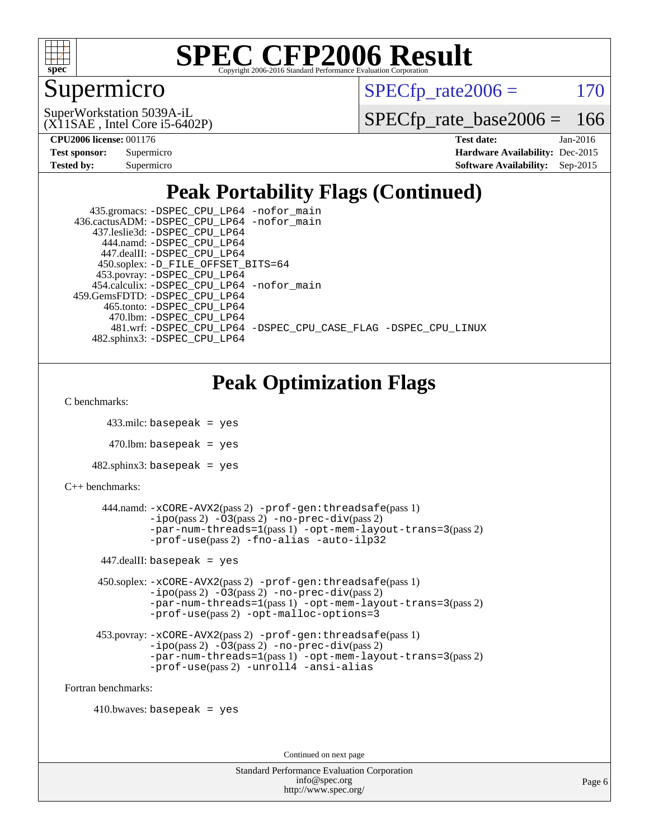

### Supermicro

 $SPECTp\_rate2006 = 170$ 

(X11SAE , Intel Core i5-6402P) SuperWorkstation 5039A-iL

[SPECfp\\_rate\\_base2006 =](http://www.spec.org/auto/cpu2006/Docs/result-fields.html#SPECfpratebase2006) 166

| Test sponsor: | Supermicro |
|---------------|------------|
| Tested by:    | Supermicro |

**[CPU2006 license:](http://www.spec.org/auto/cpu2006/Docs/result-fields.html#CPU2006license)** 001176 **[Test date:](http://www.spec.org/auto/cpu2006/Docs/result-fields.html#Testdate)** Jan-2016 **[Hardware Availability:](http://www.spec.org/auto/cpu2006/Docs/result-fields.html#HardwareAvailability)** Dec-2015 **[Software Availability:](http://www.spec.org/auto/cpu2006/Docs/result-fields.html#SoftwareAvailability)** Sep-2015

## **[Peak Portability Flags \(Continued\)](http://www.spec.org/auto/cpu2006/Docs/result-fields.html#PeakPortabilityFlags)**

| 435.gromacs: -DSPEC_CPU_LP64 -nofor_main                       |
|----------------------------------------------------------------|
| 436.cactusADM: -DSPEC CPU LP64 -nofor main                     |
| 437.leslie3d: -DSPEC CPU LP64                                  |
| 444.namd: -DSPEC CPU LP64                                      |
| 447.dealII: -DSPEC CPU LP64                                    |
| 450.soplex: -D_FILE_OFFSET_BITS=64                             |
| 453.povray: -DSPEC_CPU_LP64                                    |
| 454.calculix: -DSPEC_CPU_LP64 -nofor_main                      |
| 459. GemsFDTD: - DSPEC CPU LP64                                |
| 465.tonto: -DSPEC CPU LP64                                     |
| 470.1bm: - DSPEC CPU LP64                                      |
| 481.wrf: -DSPEC CPU LP64 -DSPEC CPU CASE FLAG -DSPEC CPU LINUX |
| 482.sphinx3: -DSPEC CPU LP64                                   |

## **[Peak Optimization Flags](http://www.spec.org/auto/cpu2006/Docs/result-fields.html#PeakOptimizationFlags)**

[C benchmarks](http://www.spec.org/auto/cpu2006/Docs/result-fields.html#Cbenchmarks):

```
 433.milc: basepeak = yes
```
 $470.$ lbm: basepeak = yes

```
482.sphinx3: basepeak = yes
```

```
C++ benchmarks:
```

```
 444.namd: -xCORE-AVX2(pass 2) -prof-gen:threadsafe(pass 1)
        -no-prec-div(pass 2)-par-num-threads=1(pass 1) -opt-mem-layout-trans=3(pass 2)
        -prof-use(pass 2) -fno-alias -auto-ilp32
447.dealII: basepeak = yes
 450.soplex: -xCORE-AVX2(pass 2) -prof-gen:threadsafe(pass 1)
         -ipo(pass 2) -O3(pass 2) -no-prec-div(pass 2)
         -par-num-threads=1(pass 1) -opt-mem-layout-trans=3(pass 2)
         -prof-use(pass 2) -opt-malloc-options=3
 453.povray: -xCORE-AVX2(pass 2) -prof-gen:threadsafe(pass 1)
         -no-prec-div(pass 2)-par-num-threads=1(pass 1) -opt-mem-layout-trans=3(pass 2)
        -prof-use(pass 2) -unroll4 -ansi-alias
```
[Fortran benchmarks](http://www.spec.org/auto/cpu2006/Docs/result-fields.html#Fortranbenchmarks):

 $410.bwaves: basepeak = yes$ 

Continued on next page

```
Standard Performance Evaluation Corporation
             info@spec.org
           http://www.spec.org/
```